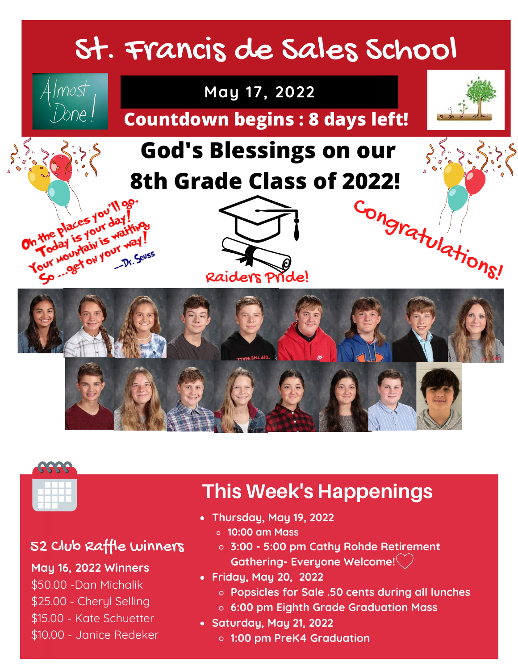## St. Francis de Sales School





#### 52 Club Raffle winners

**May 16, 2022 Winners**

- \$50.00 -Dan Michalik
- \$25.00 Cheryl Selling
- \$15.00 Kate Schuetter
- \$10.00 Janice Redeker

#### this weeks Events Events Events Events Events Events Events Events Events Events Events Events Events Events E<br>The Events Events Events Events Events Events Events Events Events Events Events Events Events Events Events E **This Week's Happenings**

- **Thursday, May 19, 2022**
	- **10:00 am Mass**
	- 52 Club Raffle winners **3:00 - 5:00 pm Cathy Rohde Retirement Gathering- Everyone Welcome!**
- **Friday, May 20, 2022**
	- \$50.00 Cecilia and Mabel Braun **Popsicles for Sale .50 cents during all lunches**
	- sa<br>ada Graduation N  $\overline{15}$ **6:00 pm Eighth Grade Graduation Mass**
- **Saturday, May 21, 2022**
	- tan.<br>1000 Ferris Museum, mengelakuran mengelakuran mengelakuran mengelakuran mengelakuran mengelakuran mengelakur **1:00 pm PreK4 Graduation**